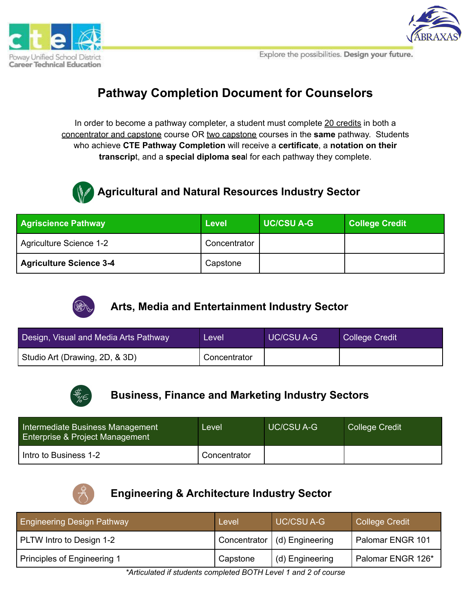





# **Pathway Completion Document for Counselors**

In order to become a pathway completer, a student must complete 20 credits in both a concentrator and capstone course OR two capstone courses in the **same** pathway. Students who achieve **CTE Pathway Completion** will receive a **certificate**, a **notation on their transcrip**t, and a **special diploma sea**l for each pathway they complete.



## **-Agricultural and Natural Resources Industry Sector**

| <b>Agriscience Pathway</b>     | Level        | <b>UC/CSU A-G</b> | <b>College Credit</b> |
|--------------------------------|--------------|-------------------|-----------------------|
| Agriculture Science 1-2        | Concentrator |                   |                       |
| <b>Agriculture Science 3-4</b> | Capstone     |                   |                       |



## **Arts, Media and Entertainment Industry Sector**

| Design, Visual and Media Arts Pathway | Level          | <b>UC/CSU A-G</b> | College Credit |
|---------------------------------------|----------------|-------------------|----------------|
| Studio Art (Drawing, 2D, & 3D)        | ' Concentrator |                   |                |



## **Business, Finance and Marketing Industry Sectors**

| Intermediate Business Management<br><b>Enterprise &amp; Project Management</b> | Level        | <b>UC/CSU A-G</b> | <b>College Credit</b> |
|--------------------------------------------------------------------------------|--------------|-------------------|-----------------------|
| Intro to Business 1-2                                                          | Concentrator |                   |                       |



## **Engineering & Architecture Industry Sector**

| <b>Engineering Design Pathway</b> | Level    | <b>UC/CSU A-G</b>              | College Credit    |
|-----------------------------------|----------|--------------------------------|-------------------|
| PLTW Intro to Design 1-2          |          | Concentrator   (d) Engineering | Palomar ENGR 101  |
| Principles of Engineering 1       | Capstone | (d) Engineering                | Palomar ENGR 126* |

*\*Articulated if students completed BOTH Level 1 and 2 of course*